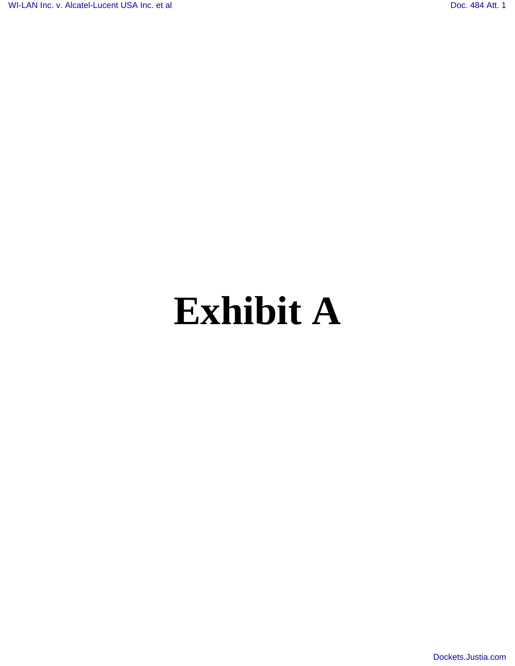## **Exhibit A**

[Dockets.Justia.com](http://dockets.justia.com/)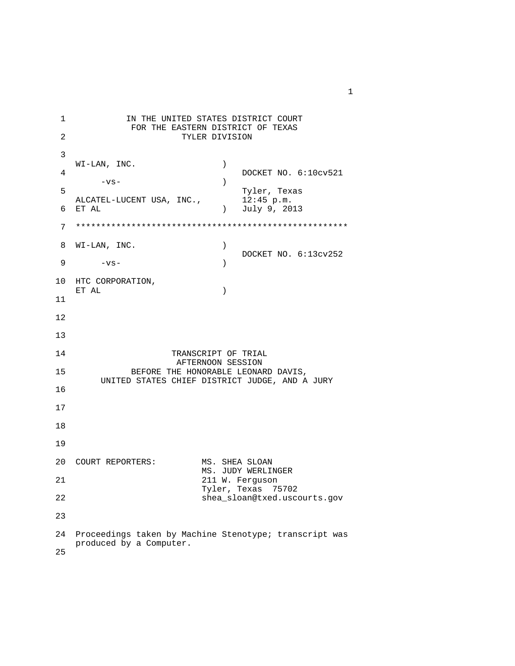1 **IN THE UNITED STATES DISTRICT COURT** FOR THE EASTERN DISTRICT OF TEXAS<br>
TYLER DIVISION TYLER DIVISION 3  $\texttt{WI-LAN}$  ,  $\texttt{INC.}$  ) + DOCKET NO. 6:10cv521<br>→ DOCKET NO. 6:10cv521  $-\mathbf{vs}-$  ) 5 Tyler, Texas<br>ALCATEL-LUCENT USA, INC., 12:45 p.m. ALCATEL-LUCENT USA, INC.,<br>6 ET AL ) July 9, 2013 7 \*\*\*\*\*\*\*\*\*\*\*\*\*\*\*\*\*\*\*\*\*\*\*\*\*\*\*\*\*\*\*\*\*\*\*\*\*\*\*\*\*\*\*\*\*\*\*\*\*\*\*\*\*\* 8 WI-LAN, INC. ) DOCKET NO. 6:13cv252<br>9 - vs- (2001)  $-vs-$  ) 10 HTC CORPORATION, ET AL ) 11 12 13 14 TRANSCRIPT OF TRIAL AFTERNOON SESSION 15 BEFORE THE HONORABLE LEONARD DAVIS, UNITED STATES CHIEF DISTRICT JUDGE, AND A JURY 16 17 18 19 20 COURT REPORTERS: MS. SHEA SLOAN MS. JUDY WERLINGER<br>21 M. Ferguson 211 W. Ferguson Tyler, Texas 75702<br>22 Shea sloan@txed.uscom shea\_sloan@txed.uscourts.gov 23 24 Proceedings taken by Machine Stenotype; transcript was produced by a Computer. 25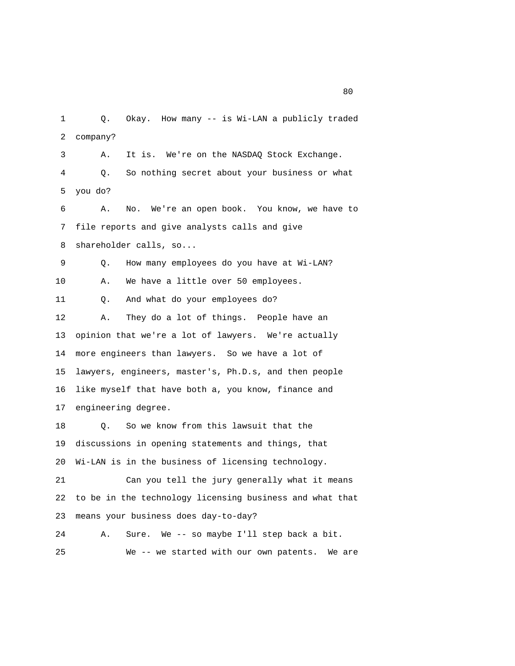1 Q. Okay. How many -- is Wi-LAN a publicly traded 2 company? 3 A. It is. We're on the NASDAQ Stock Exchange. 4 Q. So nothing secret about your business or what 5 you do? 6 A. No. We're an open book. You know, we have to 7 file reports and give analysts calls and give 8 shareholder calls, so... 9 Q. How many employees do you have at Wi-LAN? 10 A. We have a little over 50 employees. 11 Q. And what do your employees do? 12 A. They do a lot of things. People have an 13 opinion that we're a lot of lawyers. We're actually 14 more engineers than lawyers. So we have a lot of 15 lawyers, engineers, master's, Ph.D.s, and then people 16 like myself that have both a, you know, finance and 17 engineering degree. 18 Q. So we know from this lawsuit that the 19 discussions in opening statements and things, that 20 Wi-LAN is in the business of licensing technology. 21 Can you tell the jury generally what it means

 22 to be in the technology licensing business and what that 23 means your business does day-to-day?

 24 A. Sure. We -- so maybe I'll step back a bit. 25 We -- we started with our own patents. We are

experience of the state of the state of the state of the state of the state of the state of the state of the s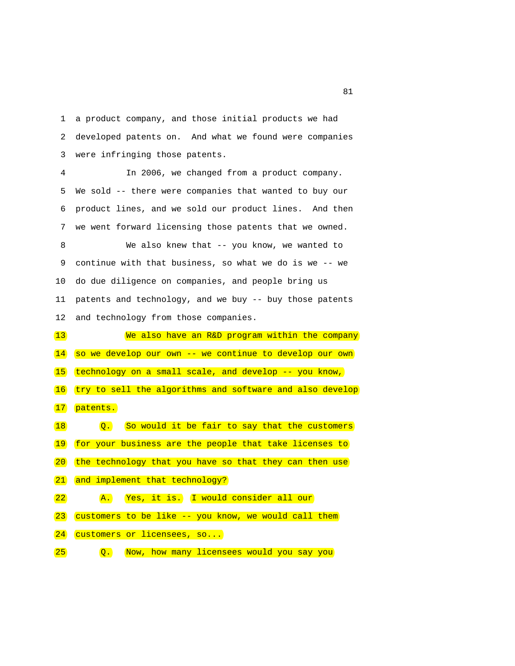1 a product company, and those initial products we had 2 developed patents on. And what we found were companies 3 were infringing those patents.

 4 In 2006, we changed from a product company. 5 We sold -- there were companies that wanted to buy our 6 product lines, and we sold our product lines. And then 7 we went forward licensing those patents that we owned.

 8 We also knew that -- you know, we wanted to 9 continue with that business, so what we do is we -- we 10 do due diligence on companies, and people bring us 11 patents and technology, and we buy -- buy those patents 12 and technology from those companies.

 13 We also have an R&D program within the company 14 so we develop our own -- we continue to develop our own 15 technology on a small scale, and develop -- you know, 16 try to sell the algorithms and software and also develop 17 patents. 18 **Q.** So would it be fair to say that the customers 19 for your business are the people that take licenses to 20 the technology that you have so that they can then use 21 and implement that technology? 22 **A.** Yes, it is. I would consider all our 23 customers to be like -- you know, we would call them 24 customers or licensees, so...

25 Q. Now, how many licensees would you say you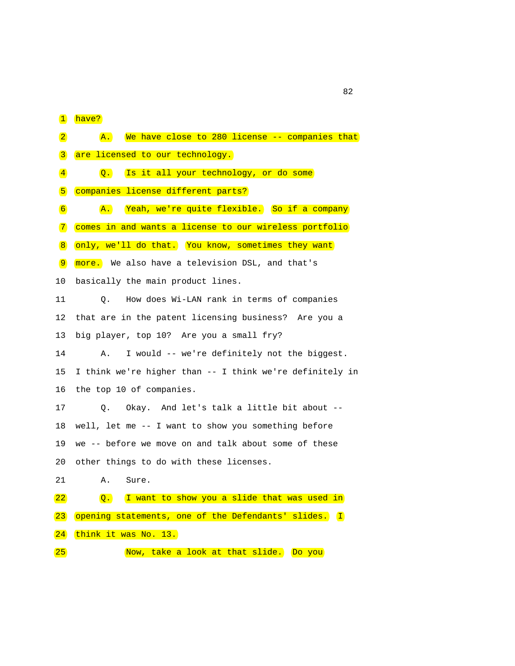1 have?

| $\vert 2 \vert$     | We have close to 280 license -- companies that<br>$\mathbf{A}$ . |
|---------------------|------------------------------------------------------------------|
| $\vert 3 \vert$     | are licensed to our technology.                                  |
| $\vert 4 \vert$     | Is it all your technology, or do some<br>$\overline{Q}$ .        |
| 5                   | companies license different parts?                               |
| $\boxed{6}$         | Yeah, we're quite flexible. So if a company<br>$\mathbf{A}$ .    |
| $\boxed{7}$         | comes in and wants a license to our wireless portfolio           |
| $\sqrt{8}$          | only, we'll do that. You know, sometimes they want               |
| $\boxed{9}$         | more. We also have a television DSL, and that's                  |
| 10                  | basically the main product lines.                                |
| 11                  | How does Wi-LAN rank in terms of companies<br>Q.                 |
| 12                  | that are in the patent licensing business? Are you a             |
| 13                  | big player, top 10? Are you a small fry?                         |
| 14                  | I would -- we're definitely not the biggest.<br>Α.               |
| 15                  | I think we're higher than -- I think we're definitely in         |
| 16                  | the top 10 of companies.                                         |
| 17                  | Okay. And let's talk a little bit about --<br>Q.                 |
| 18                  | well, let me -- I want to show you something before              |
| 19                  | we -- before we move on and talk about some of these             |
| 20                  | other things to do with these licenses.                          |
| 21                  | Α.<br>Sure.                                                      |
| 22                  | I want to show you a slide that was used in<br>$\overline{Q}$ .  |
| $\left  23 \right $ | opening statements, one of the Defendants' slides. (I            |
| 24                  | think it was No. 13.                                             |
| 25                  | Now, take a look at that slide.<br>Do you                        |
|                     |                                                                  |

experience of the contract of the contract of the contract of the contract of the contract of the contract of the contract of the contract of the contract of the contract of the contract of the contract of the contract of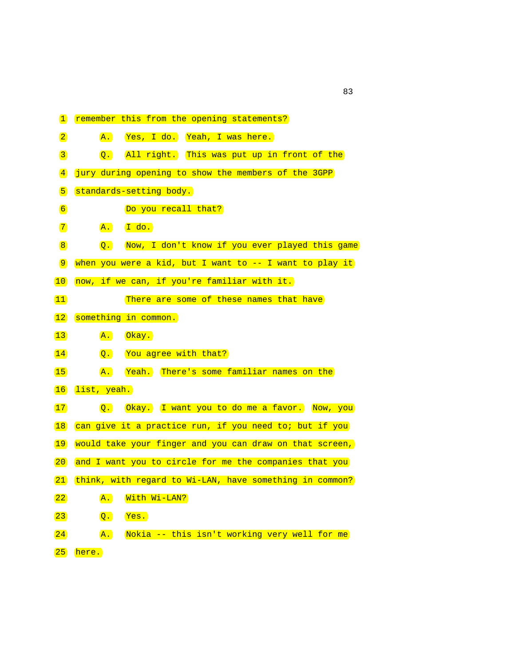| $\mathbf{1}$ | remember this from the opening statements?                         |
|--------------|--------------------------------------------------------------------|
| $\boxed{2}$  | Yes, I do. Yeah, I was here.<br>$\mathbf{A}$ .                     |
| $\boxed{3}$  | All right. This was put up in front of the<br>$\overline{Q}$ .     |
| $\boxed{4}$  | jury during opening to show the members of the 3GPP                |
| 5            | standards-setting body.                                            |
| $\boxed{6}$  | Do you recall that?                                                |
| $\boxed{7}$  | $I$ do.<br>$\mathbf{A}$ .                                          |
| $\boxed{8}$  | Now, I don't know if you ever played this game<br>$\overline{Q}$ . |
| $\boxed{9}$  | when you were a kid, but I want to -- I want to play it            |
| 10           | now, if we can, if you're familiar with it.                        |
| 11           | There are some of these names that have                            |
| 12           | something in common.                                               |
| $\boxed{13}$ | $\overline{A}$ .<br>$(0$ kay.                                      |
| 14           | You agree with that?<br>$\overline{Q}$ .                           |
| 15           | Yeah. There's some familiar names on the<br>$\mathbf{A}$ .         |
| 16           | list, yeah.                                                        |
| 17           | $\overline{Q}$ .<br>Okay. I want you to do me a favor. Now, you    |
| 18           | can give it a practice run, if you need to; but if you             |
| 19           | would take your finger and you can draw on that screen,            |
| 20           | and I want you to circle for me the companies that you             |
| 21           | think, with regard to Wi-LAN, have something in common?            |
| 22           | With Wi-LAN?<br>$\overline{A}$ .                                   |
| 23           | $\overline{Q}$ .<br>Yes.                                           |
| 24           | Nokia -- this isn't working very well for me<br>$\overline{A}$ .   |
| 25)          | here.                                                              |

experience of the contract of the contract of the contract of the contract of the contract of the contract of the contract of the contract of the contract of the contract of the contract of the contract of the contract of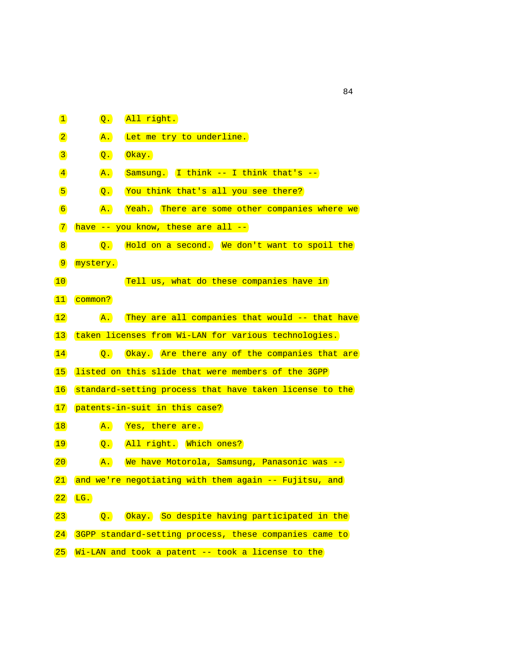| $\mathbf{1}$                 | $\overline{Q}$ . | All right.                                              |
|------------------------------|------------------|---------------------------------------------------------|
| $\boxed{2}$                  | $\mathbf{A}$ .   | Let me try to underline.                                |
| $\mathbf{3}$                 | $\overline{Q}$ . | Okay.                                                   |
| $\left  \frac{4}{2} \right $ | $\overline{A}$ . | $Samsung.$ I think -- I think that's --                 |
| 5                            | $\overline{Q}$ . | You think that's all you see there?                     |
| $\boxed{6}$                  | $\mathbf{A}$ .   | Yeah. There are some other companies where we           |
| $\boxed{7}$                  |                  | have -- you know, these are all --                      |
| $\boxed{8}$                  | $\overline{Q}$ . | Hold on a second. We don't want to spoil the            |
| $\boxed{9}$                  | mystery.         |                                                         |
| 10                           |                  | Tell us, what do these companies have in                |
| 11                           | common?          |                                                         |
| 12                           | $\overline{A}$ . | They are all companies that would -- that have          |
| 13                           |                  | taken licenses from Wi-LAN for various technologies.    |
| 14                           |                  | Q. Okay. Are there any of the companies that are        |
| 15                           |                  | listed on this slide that were members of the 3GPP      |
| 16                           |                  | standard-setting process that have taken license to the |
| 17                           |                  | patents-in-suit in this case?                           |
| 18                           | $\mathbf{A}$ .   | Yes, there are.                                         |
| 19                           | $\overline{Q}$ . | All right. Which ones?                                  |
| 20                           | $\mathbf{A}$ .   | We have Motorola, Samsung, Panasonic was --             |
| 21                           |                  | and we're negotiating with them again -- Fujitsu, and   |
| 22                           | LG.              |                                                         |
| 23                           | $\overline{Q}$ . | Okay. So despite having participated in the             |
| 24)                          |                  | 3GPP standard-setting process, these companies came to  |
| 25)                          |                  | Wi-LAN and took a patent -- took a license to the       |

84 and 2012 and 2013 and 2014 and 2014 and 2014 and 2014 and 2014 and 2014 and 2014 and 2014 and 2014 and 201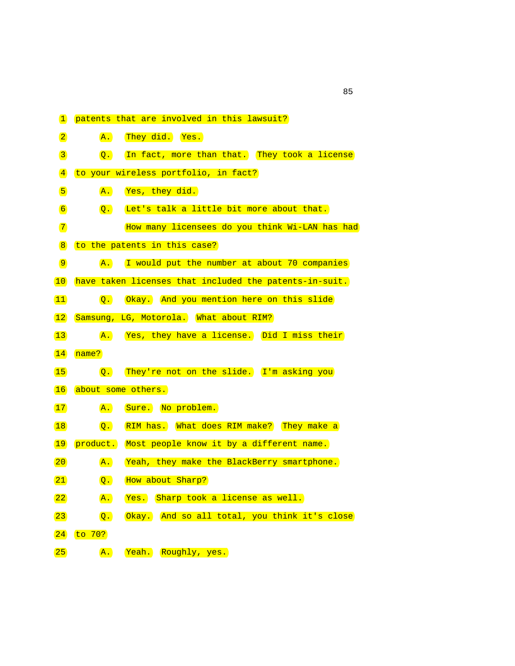| $\mathbf{1}$    | patents that are involved in this lawsuit?                       |
|-----------------|------------------------------------------------------------------|
| $\boxed{2}$     | They did. Yes.<br>$\mathbf{A}$ .                                 |
| $\overline{3}$  | Q. In fact, more than that. They took a license                  |
| $\vert 4 \vert$ | to your wireless portfolio, in fact?                             |
| 5               | Yes, they did.<br>$\mathbf{A}$ .                                 |
| 6               | Let's talk a little bit more about that.<br>$\overline{Q}$ .     |
| $\boxed{7}$     | How many licensees do you think Wi-LAN has had                   |
| $\boxed{8}$     | to the patents in this case?                                     |
| $\boxed{9}$     | A. I would put the number at about 70 companies                  |
| 10              | have taken licenses that included the patents-in-suit.           |
| 11              | Okay. And you mention here on this slide<br>$\overline{Q}$ .     |
| 12              | Samsung, LG, Motorola. What about RIM?                           |
| $\boxed{13}$    | A. Yes, they have a license. Did I miss their                    |
| 14              | name?                                                            |
| 15              | Q. They're not on the slide. I'm asking you                      |
| 16              | about some others.                                               |
| 17              | Sure. No problem.<br>$\overline{A}$ .                            |
| 18              | RIM has. What does RIM make? They make a<br>$\overline{Q}$ .     |
| 19              | product. Most people know it by a different name.                |
| 20              | Yeah, they make the BlackBerry smartphone.<br>$\overline{A}$ .   |
| 21              | How about Sharp?<br>$\overline{Q}$ .                             |
| 22              | Sharp took a license as well.<br>Yes.<br>$\mathbf{A}$ .          |
| 23              | Okay. And so all total, you think it's close<br>$\overline{Q}$ . |
| 24              | to 70?                                                           |
| 25)             | $\overline{A}$ .<br>Yeah. Roughly, yes.                          |

<u>85 September 2006 September 2006 September 2006 September 2006 September 2006 September 2006 September 2006 S</u>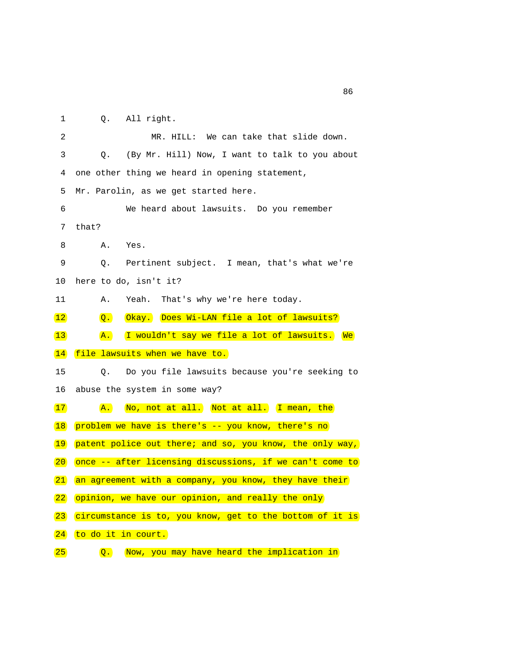1 Q. All right.

| $\overline{2}$ | MR. HILL: We can take that slide down.                         |
|----------------|----------------------------------------------------------------|
| 3              | (By Mr. Hill) Now, I want to talk to you about<br>$\circ$ .    |
| 4              | one other thing we heard in opening statement,                 |
| 5              | Mr. Parolin, as we get started here.                           |
| 6              | We heard about lawsuits. Do you remember                       |
| 7              | that?                                                          |
| 8              | Yes.<br>Α.                                                     |
| 9              | Pertinent subject. I mean, that's what we're<br>Q.             |
| 10             | here to do, isn't it?                                          |
| 11             | That's why we're here today.<br>Α.<br>Yeah.                    |
| 12             | Okay. Does Wi-LAN file a lot of lawsuits?<br>$\overline{Q}$ .  |
| 13             | I wouldn't say we file a lot of lawsuits. We<br>$\mathbf{A}$ . |
| 14             | file lawsuits when we have to.                                 |
| 15             | Do you file lawsuits because you're seeking to<br>О.           |
| 16             | abuse the system in some way?                                  |
| 17             | No, not at all. Not at all. I mean, the<br>$\mathbf{A}$ .      |
| 18             | problem we have is there's -- you know, there's no             |
| 19             | patent police out there; and so, you know, the only way,       |
| 20             | once -- after licensing discussions, if we can't come to       |
| 21             | an agreement with a company, you know, they have their         |
| 22             | opinion, we have our opinion, and really the only              |
| 23             | circumstance is to, you know, get to the bottom of it is       |
| 24             | to do it in court.                                             |
| 25             | Now, you may have heard the implication in<br>$\overline{O}$ . |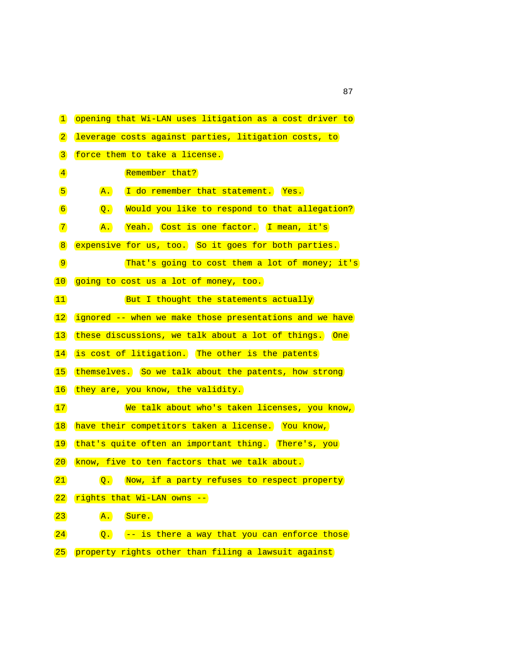| $\mathbf{1}$                 | opening that Wi-LAN uses litigation as a cost driver to           |
|------------------------------|-------------------------------------------------------------------|
| $\boxed{2}$                  | leverage costs against parties, litigation costs, to              |
| $\boxed{3}$                  | force them to take a license.                                     |
| $\left  \frac{4}{2} \right $ | Remember that?                                                    |
| 5                            | I do remember that statement. Yes.<br>$\mathbf{A}$ .              |
| $\boxed{6}$                  | Would you like to respond to that allegation?<br>$\overline{Q}$ . |
| $\boxed{7}$                  | Yeah. Cost is one factor. I mean, it's<br>$\mathbf{A}$ .          |
| $\boxed{8}$                  | expensive for us, too. So it goes for both parties.               |
| $\boxed{9}$                  | That's going to cost them a lot of money; it's                    |
| 10                           | going to cost us a lot of money, too.                             |
| $ 11\rangle$                 | But I thought the statements actually                             |
| 12                           | ignored -- when we make those presentations and we have           |
| $\boxed{13}$                 | these discussions, we talk about a lot of things. One             |
| 14                           | is cost of litigation. The other is the patents                   |
| 15                           | themselves. So we talk about the patents, how strong              |
| 16                           | they are, you know, the validity.                                 |
| 17                           | We talk about who's taken licenses, you know,                     |
| 18                           | have their competitors taken a license. You know,                 |
| 19                           | that's quite often an important thing. There's, you               |
| $ 20\rangle$                 | know, five to ten factors that we talk about.                     |
| 21                           | Now, if a party refuses to respect property<br>$\overline{Q}$ .   |
| 22                           | rights that Wi-LAN owns --                                        |
| $\boxed{23}$                 | Sure.<br>$\overline{A}$ .                                         |
| 24                           | -- is there a way that you can enforce those<br>$\overline{Q}$ .  |
| 25)                          | property rights other than filing a lawsuit against               |

87 and 2012 and 2012 and 2012 and 2012 and 2012 and 2012 and 2012 and 2012 and 2012 and 2012 and 201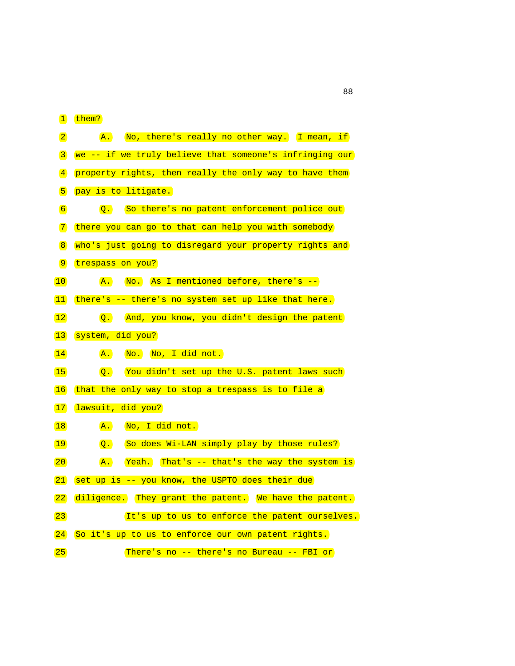$1 + h \cdot m$ 

|                   | $\vert$ them?                                                  |
|-------------------|----------------------------------------------------------------|
| $\boxed{2}$       | A. No, there's really no other way. I mean, if                 |
| $\vert 3 \vert$   | we -- if we truly believe that someone's infringing our        |
| $\vert 4 \vert$   | property rights, then really the only way to have them         |
| $\sqrt{5}$        | pay is to litigate.                                            |
| $\sqrt{6}$        | Q. So there's no patent enforcement police out                 |
| $\boxed{7}$       | there you can go to that can help you with somebody            |
| $\sqrt{8}$        | who's just going to disregard your property rights and         |
| $\boxed{9}$       | trespass on you?                                               |
| 10                | $A.$ No. As I mentioned before, there's $-$                    |
| $\left(11\right)$ | there's -- there's no system set up like that here.            |
| 12                | Q. And, you know, you didn't design the patent                 |
| $\vert 13 \vert$  | system, did you?                                               |
| 14                | No. No, I did not.<br>$\mathbf{A}$ .                           |
| 15                | Q. You didn't set up the U.S. patent laws such                 |
| $\vert 16 \vert$  | that the only way to stop a trespass is to file a              |
| 17                | lawsuit, did you?                                              |
| 18                | No, I did not.<br>$\mathbf{A}$ .                               |
| 19                | $\overline{Q}$ .<br>So does Wi-LAN simply play by those rules? |
| $ 20\rangle$      | Yeah. That's -- that's the way the system is<br>$\mathbf{A}$ . |
| 21                | set up is -- you know, the USPTO does their due                |
| 22                | diligence. They grant the patent. We have the patent.          |
| $\boxed{23}$      | It's up to us to enforce the patent ourselves.                 |
|                   |                                                                |
| 24                | So it's up to us to enforce our own patent rights.             |
| 25)               | There's no -- there's no Bureau -- FBI or                      |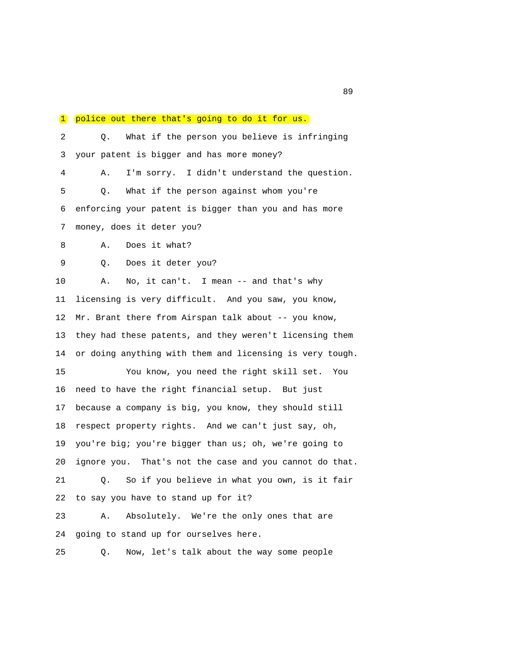## 1 police out there that's going to do it for us. 2 Q. What if the person you believe is infringing 3 your patent is bigger and has more money? 4 A. I'm sorry. I didn't understand the question. 5 Q. What if the person against whom you're 6 enforcing your patent is bigger than you and has more 7 money, does it deter you? 8 A. Does it what? 9 Q. Does it deter you? 10 A. No, it can't. I mean -- and that's why 11 licensing is very difficult. And you saw, you know, 12 Mr. Brant there from Airspan talk about -- you know, 13 they had these patents, and they weren't licensing them 14 or doing anything with them and licensing is very tough. 15 You know, you need the right skill set. You 16 need to have the right financial setup. But just 17 because a company is big, you know, they should still 18 respect property rights. And we can't just say, oh, 19 you're big; you're bigger than us; oh, we're going to 20 ignore you. That's not the case and you cannot do that. 21 Q. So if you believe in what you own, is it fair 22 to say you have to stand up for it? 23 A. Absolutely. We're the only ones that are 24 going to stand up for ourselves here. 25 Q. Now, let's talk about the way some people

<u>89</u>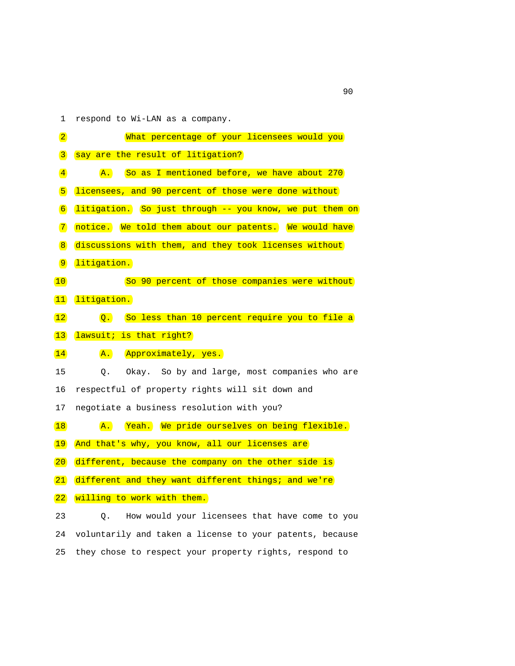1 respond to Wi-LAN as a company.

| $\boxed{2}$                  | What percentage of your licensees would you                       |
|------------------------------|-------------------------------------------------------------------|
| $\sqrt{3}$                   | say are the result of litigation?                                 |
| $\left  \frac{4}{2} \right $ | So as I mentioned before, we have about 270<br>$\mathbf{A}$ .     |
| 5                            | licensees, and 90 percent of those were done without              |
| 6                            | litigation. So just through -- you know, we put them on           |
| $\boxed{7}$                  | notice. We told them about our patents. We would have             |
| $\boxed{8}$                  | discussions with them, and they took licenses without             |
| $\boxed{9}$                  | litigation.                                                       |
| 10                           | So 90 percent of those companies were without                     |
| $\boxed{11}$                 | litigation.                                                       |
| 12                           | $\overline{Q}$ .<br>So less than 10 percent require you to file a |
| 13                           | lawsuit; is that right?                                           |
| 14                           | Approximately, yes.<br>$\overline{A}$ .                           |
| 15                           | Q.<br>Okay. So by and large, most companies who are               |
| 16                           | respectful of property rights will sit down and                   |
| 17                           | negotiate a business resolution with you?                         |
| 18                           | Yeah. We pride ourselves on being flexible.<br>$\mathbf{A}$ .     |
| 19                           | And that's why, you know, all our licenses are                    |
| 20                           | different, because the company on the other side is               |
| $\boxed{21}$                 | different and they want different things; and we're               |
| 22                           | willing to work with them.                                        |
| 23                           | How would your licensees that have come to you<br>Q.              |
|                              |                                                                   |

 24 voluntarily and taken a license to your patents, because 25 they chose to respect your property rights, respond to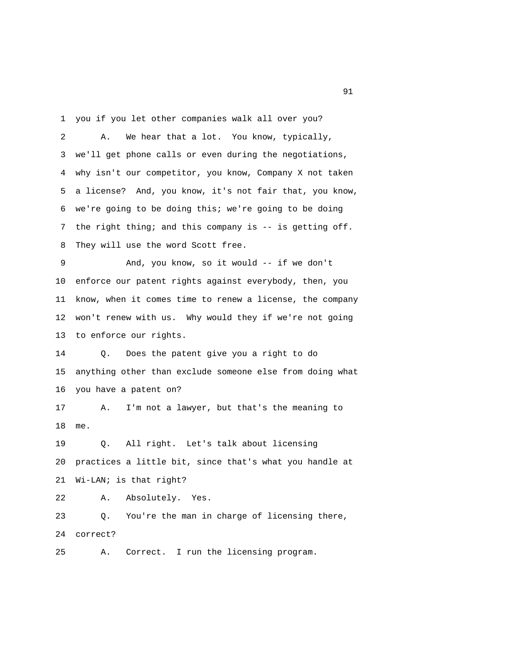1 you if you let other companies walk all over you? 2 A. We hear that a lot. You know, typically, 3 we'll get phone calls or even during the negotiations, 4 why isn't our competitor, you know, Company X not taken 5 a license? And, you know, it's not fair that, you know, 6 we're going to be doing this; we're going to be doing 7 the right thing; and this company is -- is getting off. 8 They will use the word Scott free. 9 And, you know, so it would -- if we don't 10 enforce our patent rights against everybody, then, you 11 know, when it comes time to renew a license, the company 12 won't renew with us. Why would they if we're not going 13 to enforce our rights. 14 Q. Does the patent give you a right to do 15 anything other than exclude someone else from doing what 16 you have a patent on? 17 A. I'm not a lawyer, but that's the meaning to 18 me. 19 Q. All right. Let's talk about licensing 20 practices a little bit, since that's what you handle at 21 Wi-LAN; is that right? 22 A. Absolutely. Yes. 23 Q. You're the man in charge of licensing there, 24 correct? 25 A. Correct. I run the licensing program.

extended to the state of the state of the state of the state of the state of the state of the state of the state of the state of the state of the state of the state of the state of the state of the state of the state of th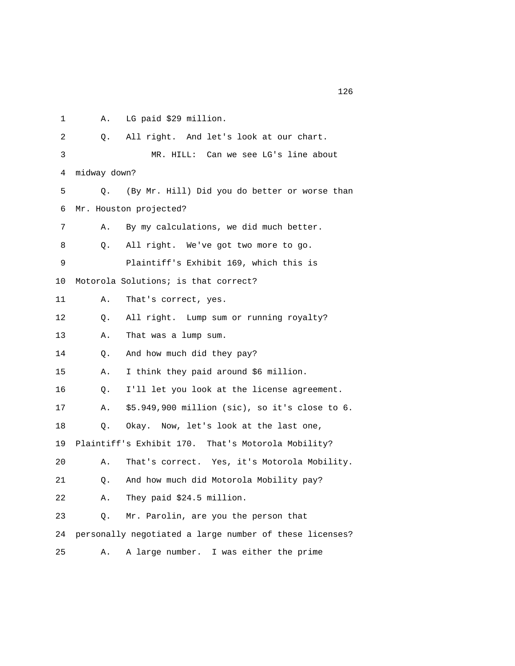1 A. LG paid \$29 million.

| $\overline{2}$ | 0.           | All right. And let's look at our chart.                 |
|----------------|--------------|---------------------------------------------------------|
| 3              |              | MR. HILL: Can we see LG's line about                    |
|                |              |                                                         |
| 4              | midway down? |                                                         |
| 5              | Q.           | (By Mr. Hill) Did you do better or worse than           |
| 6              |              | Mr. Houston projected?                                  |
| 7              | Α.           | By my calculations, we did much better.                 |
| 8              | Q.           | All right. We've got two more to go.                    |
| 9              |              | Plaintiff's Exhibit 169, which this is                  |
| 10             |              | Motorola Solutions; is that correct?                    |
| 11             | Α.           | That's correct, yes.                                    |
| 12             | Q.           | All right. Lump sum or running royalty?                 |
| 13             | Α.           | That was a lump sum.                                    |
| 14             | Q.           | And how much did they pay?                              |
| 15             | Α.           | I think they paid around \$6 million.                   |
| 16             | О.           | I'll let you look at the license agreement.             |
| 17             | Α.           | \$5.949,900 million (sic), so it's close to 6.          |
| 18             | О.           | Okay. Now, let's look at the last one,                  |
| 19             |              | Plaintiff's Exhibit 170. That's Motorola Mobility?      |
| 20             | Α.           | That's correct. Yes, it's Motorola Mobility.            |
| 21             | О.           | And how much did Motorola Mobility pay?                 |
| 22             | Α.           | They paid \$24.5 million.                               |
| 23             | О.           | Mr. Parolin, are you the person that                    |
| 24             |              | personally negotiated a large number of these licenses? |
| 25             | Α.           | A large number. I was either the prime                  |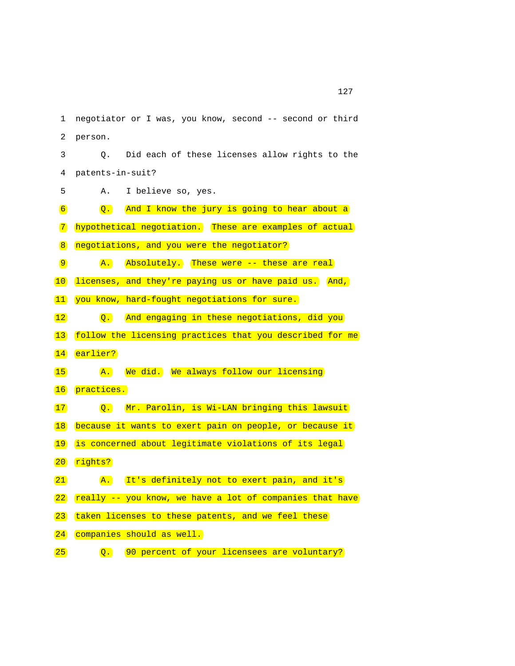1 negotiator or I was, you know, second -- second or third 2 person. 3 Q. Did each of these licenses allow rights to the 4 patents-in-suit? 5 A. I believe so, yes.  $\boxed{6}$  Q. And I know the jury is going to hear about a 7 hypothetical negotiation. These are examples of actual 8 negotiations, and you were the negotiator? 9 A. Absolutely. These were -- these are real 10 licenses, and they're paying us or have paid us. And, 11 you know, hard-fought negotiations for sure. 12 Q. And engaging in these negotiations, did you 13 follow the licensing practices that you described for me 14 earlier? 15 A. We did. We always follow our licensing 16 practices. 17 Q. Mr. Parolin, is Wi-LAN bringing this lawsuit 18 because it wants to exert pain on people, or because it 19 is concerned about legitimate violations of its legal 20 rights? 21 A. It's definitely not to exert pain, and it's 22 really -- you know, we have a lot of companies that have 23 taken licenses to these patents, and we feel these 24 companies should as well.

25 **Q.** 90 percent of your licensees are voluntary?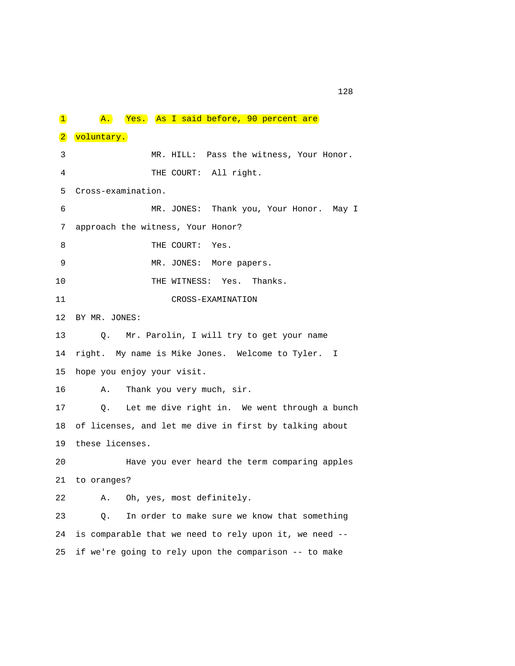1 A. Yes. As I said before, 90 percent are 2 voluntary. 3 MR. HILL: Pass the witness, Your Honor. 4 THE COURT: All right. 5 Cross-examination. 6 MR. JONES: Thank you, Your Honor. May I 7 approach the witness, Your Honor? 8 THE COURT: Yes. 9 MR. JONES: More papers. 10 THE WITNESS: Yes. Thanks. 11 CROSS-EXAMINATION 12 BY MR. JONES: 13 Q. Mr. Parolin, I will try to get your name 14 right. My name is Mike Jones. Welcome to Tyler. I 15 hope you enjoy your visit. 16 A. Thank you very much, sir. 17 Q. Let me dive right in. We went through a bunch 18 of licenses, and let me dive in first by talking about 19 these licenses. 20 Have you ever heard the term comparing apples 21 to oranges? 22 A. Oh, yes, most definitely. 23 Q. In order to make sure we know that something 24 is comparable that we need to rely upon it, we need -- 25 if we're going to rely upon the comparison -- to make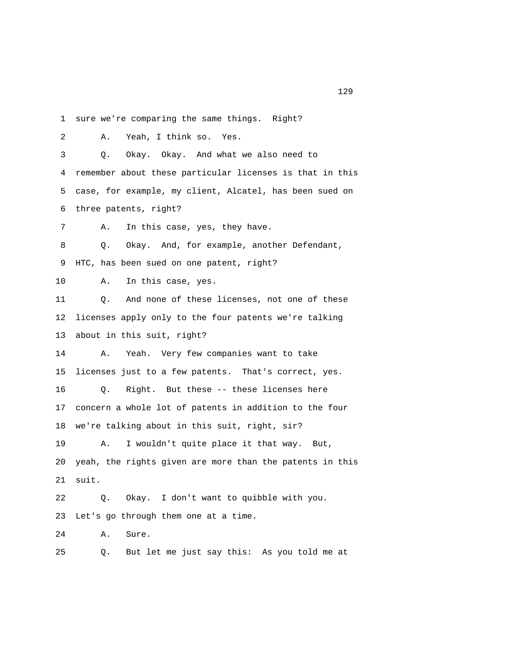1 sure we're comparing the same things. Right? 2 A. Yeah, I think so. Yes. 3 Q. Okay. Okay. And what we also need to 4 remember about these particular licenses is that in this 5 case, for example, my client, Alcatel, has been sued on 6 three patents, right? 7 A. In this case, yes, they have. 8 Q. Okay. And, for example, another Defendant, 9 HTC, has been sued on one patent, right? 10 A. In this case, yes. 11 Q. And none of these licenses, not one of these 12 licenses apply only to the four patents we're talking 13 about in this suit, right? 14 A. Yeah. Very few companies want to take 15 licenses just to a few patents. That's correct, yes. 16 Q. Right. But these -- these licenses here 17 concern a whole lot of patents in addition to the four 18 we're talking about in this suit, right, sir? 19 A. I wouldn't quite place it that way. But, 20 yeah, the rights given are more than the patents in this 21 suit.

 22 Q. Okay. I don't want to quibble with you. 23 Let's go through them one at a time.

24 A. Sure.

25 Q. But let me just say this: As you told me at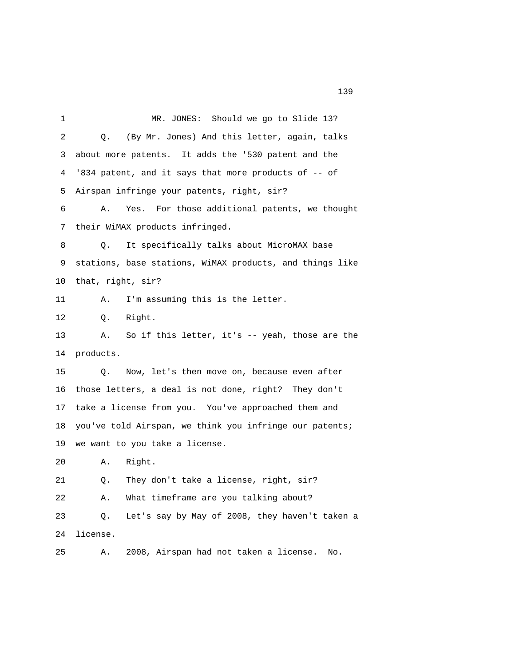1 MR. JONES: Should we go to Slide 13? 2 Q. (By Mr. Jones) And this letter, again, talks 3 about more patents. It adds the '530 patent and the 4 '834 patent, and it says that more products of -- of 5 Airspan infringe your patents, right, sir? 6 A. Yes. For those additional patents, we thought 7 their WiMAX products infringed. 8 Q. It specifically talks about MicroMAX base 9 stations, base stations, WiMAX products, and things like 10 that, right, sir? 11 A. I'm assuming this is the letter. 12 Q. Right. 13 A. So if this letter, it's -- yeah, those are the 14 products. 15 Q. Now, let's then move on, because even after 16 those letters, a deal is not done, right? They don't 17 take a license from you. You've approached them and 18 you've told Airspan, we think you infringe our patents; 19 we want to you take a license. 20 A. Right. 21 Q. They don't take a license, right, sir? 22 A. What timeframe are you talking about? 23 Q. Let's say by May of 2008, they haven't taken a 24 license. 25 A. 2008, Airspan had not taken a license. No.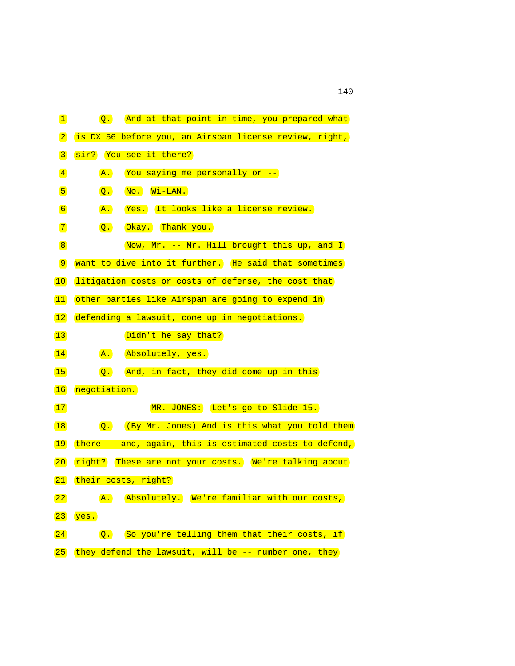| $\mathbf{1}$                 | And at that point in time, you prepared what<br>$\overline{Q}$ . |
|------------------------------|------------------------------------------------------------------|
| $\boxed{2}$                  | is DX 56 before you, an Airspan license review, right,           |
| $\boxed{3}$                  | sir? You see it there?                                           |
| $\left  \frac{4}{2} \right $ | You saying me personally or --<br>$\overline{A}$ .               |
| 5                            | $NO.$ $Wi-LAN.$<br>$\overline{Q}$ .                              |
| 6                            | Yes. It looks like a license review.<br>$\mathbf{A}$ .           |
| $\boxed{7}$                  | $\overline{Q}$ .<br>Okay. Thank you.                             |
| $\boxed{8}$                  | Now, Mr. -- Mr. Hill brought this up, and I                      |
| $\boxed{9}$                  | want to dive into it further. He said that sometimes             |
| 10                           | litigation costs or costs of defense, the cost that              |
| 11                           | other parties like Airspan are going to expend in                |
| 12                           | defending a lawsuit, come up in negotiations.                    |
| 13                           | Didn't he say that?                                              |
| 14                           | $\overline{A}$ .<br>Absolutely, yes.                             |
| 15                           | And, in fact, they did come up in this<br>$\overline{Q}$ .       |
| 16                           | negotiation.                                                     |
| 17)                          | MR. JONES: Let's go to Slide 15.                                 |
| 18                           | Q. (By Mr. Jones) And is this what you told them                 |
| 19                           | there -- and, again, this is estimated costs to defend,          |
| 20                           | right? These are not your costs. We're talking about             |
| 21)                          | their costs, right?                                              |
| 22                           | Absolutely. We're familiar with our costs,<br>A.                 |
| $\left  23 \right $          | yes.                                                             |
| 24                           | So you're telling them that their costs, if<br>$\overline{Q}$ .  |
| 25                           | they defend the lawsuit, will be -- number one, they             |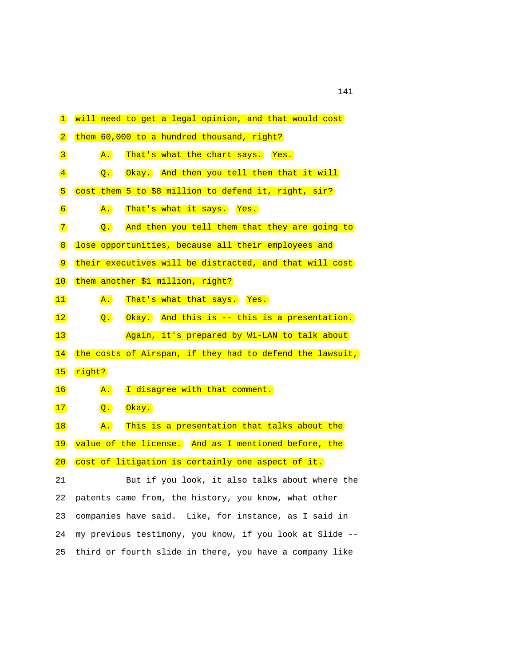| $\mathbf{1}$                 | will need to get a legal opinion, and that would cost             |
|------------------------------|-------------------------------------------------------------------|
| $\boxed{2}$                  | them 60,000 to a hundred thousand, right?                         |
| $\boxed{3}$                  | That's what the chart says. Yes.<br>$\overline{A}$ .              |
| $\left  \frac{4}{2} \right $ | Okay. And then you tell them that it will<br>$\overline{Q}$ .     |
| 5                            | cost them 5 to \$8 million to defend it, right, sir?              |
| $\boxed{6}$                  | $\overline{A}$ .<br>That's what it says. Yes.                     |
| $\boxed{7}$                  | And then you tell them that they are going to<br>$\overline{Q}$ . |
| $\vert 8 \vert$              | lose opportunities, because all their employees and               |
| $\boxed{9}$                  | their executives will be distracted, and that will cost           |
| 10                           | them another \$1 million, right?                                  |
| $\boxed{11}$                 | That's what that says. Yes.<br>$\mathbf{A}$ .                     |
| $\boxed{12}$                 | Okay. And this is -- this is a presentation.<br>$\overline{Q}$ .  |
| $\boxed{13}$                 | Again, it's prepared by Wi-LAN to talk about                      |
| 14                           | the costs of Airspan, if they had to defend the lawsuit,          |
| 15                           | right?                                                            |
| 16                           | I disagree with that comment.<br>$\mathbf{A}$ .                   |
| 17                           | $O$ kay.<br>$\overline{Q}$ .                                      |
| 18                           | This is a presentation that talks about the<br>$\mathbf{A}$ .     |
| 19                           | value of the license. And as I mentioned before, the              |
| 20                           | cost of litigation is certainly one aspect of it.                 |
| 21                           | But if you look, it also talks about where the                    |
| 22                           | patents came from, the history, you know, what other              |
| 23                           | companies have said. Like, for instance, as I said in             |
| 24                           | my previous testimony, you know, if you look at Slide --          |
| 25                           | third or fourth slide in there, you have a company like           |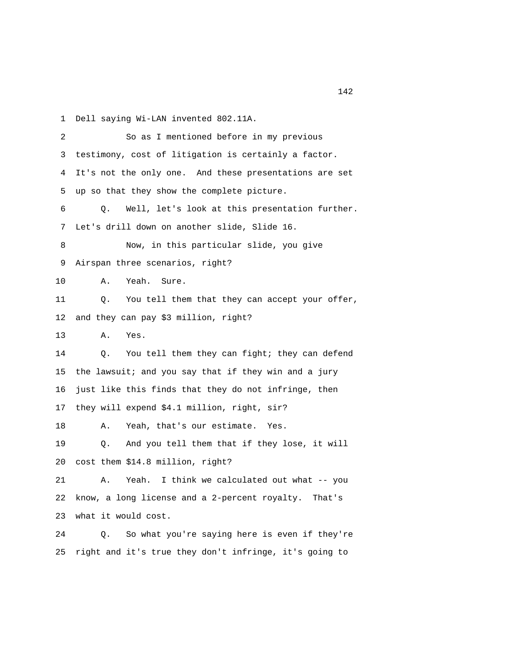1 Dell saying Wi-LAN invented 802.11A.

| 2  | So as I mentioned before in my previous                 |
|----|---------------------------------------------------------|
| 3  | testimony, cost of litigation is certainly a factor.    |
| 4  | It's not the only one. And these presentations are set  |
| 5  | up so that they show the complete picture.              |
| 6  | Well, let's look at this presentation further.<br>Q.    |
| 7  | Let's drill down on another slide, Slide 16.            |
| 8  | Now, in this particular slide, you give                 |
| 9  | Airspan three scenarios, right?                         |
| 10 | Α.<br>Yeah.<br>Sure.                                    |
| 11 | You tell them that they can accept your offer,<br>Q.    |
| 12 | and they can pay \$3 million, right?                    |
| 13 | Α.<br>Yes.                                              |
| 14 | You tell them they can fight; they can defend<br>Q.     |
| 15 | the lawsuit; and you say that if they win and a jury    |
| 16 | just like this finds that they do not infringe, then    |
| 17 | they will expend \$4.1 million, right, sir?             |
| 18 | Yeah, that's our estimate. Yes.<br>Α.                   |
| 19 | And you tell them that if they lose, it will<br>Q.      |
| 20 | cost them \$14.8 million, right?                        |
| 21 | Yeah. I think we calculated out what -- you<br>Α.       |
| 22 | know, a long license and a 2-percent royalty.<br>That's |
| 23 | what it would cost.                                     |
| 24 | So what you're saying here is even if they're<br>Q.     |
| 25 | right and it's true they don't infringe, it's going to  |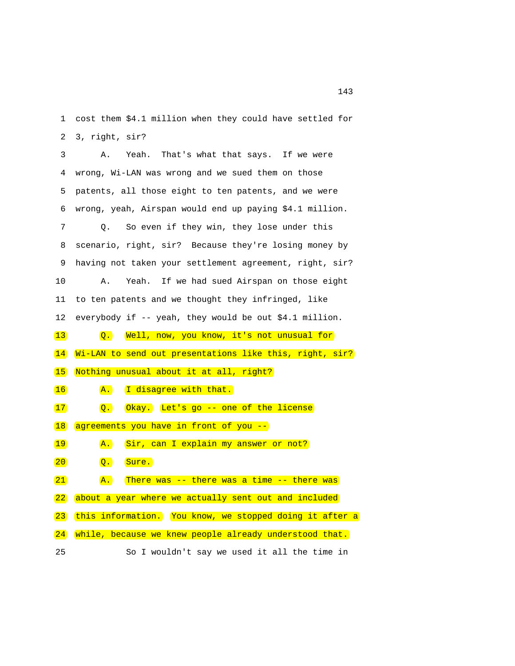1 cost them \$4.1 million when they could have settled for 2 3, right, sir?

 3 A. Yeah. That's what that says. If we were 4 wrong, Wi-LAN was wrong and we sued them on those 5 patents, all those eight to ten patents, and we were 6 wrong, yeah, Airspan would end up paying \$4.1 million. 7 Q. So even if they win, they lose under this 8 scenario, right, sir? Because they're losing money by 9 having not taken your settlement agreement, right, sir? 10 A. Yeah. If we had sued Airspan on those eight 11 to ten patents and we thought they infringed, like 12 everybody if -- yeah, they would be out \$4.1 million. 13 Q. Well, now, you know, it's not unusual for 14 Wi-LAN to send out presentations like this, right, sir? 15 Nothing unusual about it at all, right? 16 A. I disagree with that. 17 **Q.** Okay. Let's go -- one of the license 18 agreements you have in front of you --19 **A.** Sir, can I explain my answer or not? 20 Q. Sure.  $\overline{21}$   $\overline{A}$ . There was -- there was a time -- there was 22 about a year where we actually sent out and included 23 this information. You know, we stopped doing it after a 24 while, because we knew people already understood that. 25 So I wouldn't say we used it all the time in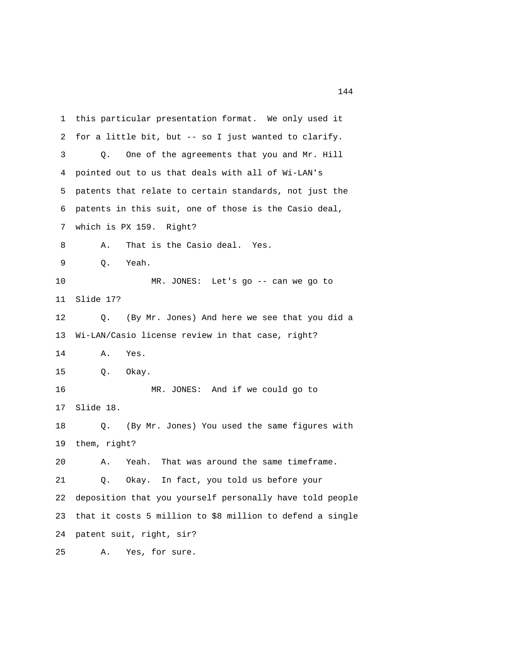1 this particular presentation format. We only used it 2 for a little bit, but -- so I just wanted to clarify. 3 Q. One of the agreements that you and Mr. Hill 4 pointed out to us that deals with all of Wi-LAN's 5 patents that relate to certain standards, not just the 6 patents in this suit, one of those is the Casio deal, 7 which is PX 159. Right? 8 A. That is the Casio deal. Yes. 9 Q. Yeah. 10 MR. JONES: Let's go -- can we go to 11 Slide 17? 12 Q. (By Mr. Jones) And here we see that you did a 13 Wi-LAN/Casio license review in that case, right? 14 A. Yes. 15 Q. Okay. 16 MR. JONES: And if we could go to 17 Slide 18. 18 Q. (By Mr. Jones) You used the same figures with 19 them, right? 20 A. Yeah. That was around the same timeframe. 21 Q. Okay. In fact, you told us before your 22 deposition that you yourself personally have told people 23 that it costs 5 million to \$8 million to defend a single 24 patent suit, right, sir?

25 A. Yes, for sure.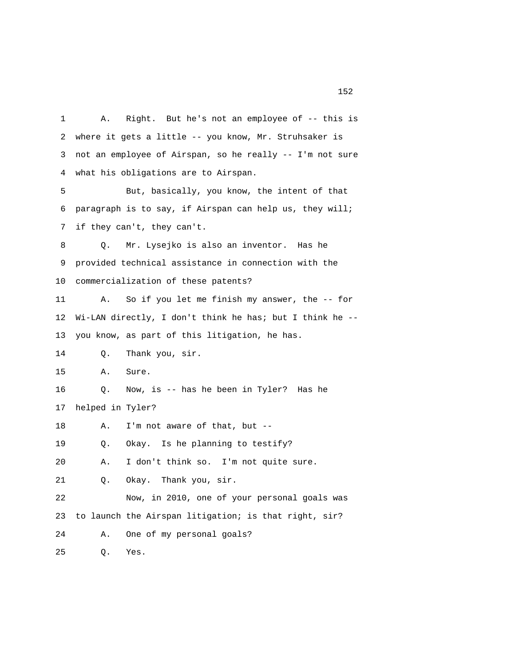1 A. Right. But he's not an employee of -- this is 2 where it gets a little -- you know, Mr. Struhsaker is 3 not an employee of Airspan, so he really -- I'm not sure 4 what his obligations are to Airspan. 5 But, basically, you know, the intent of that 6 paragraph is to say, if Airspan can help us, they will; 7 if they can't, they can't. 8 Q. Mr. Lysejko is also an inventor. Has he 9 provided technical assistance in connection with the 10 commercialization of these patents? 11 A. So if you let me finish my answer, the -- for 12 Wi-LAN directly, I don't think he has; but I think he -- 13 you know, as part of this litigation, he has. 14 Q. Thank you, sir. 15 A. Sure. 16 Q. Now, is -- has he been in Tyler? Has he 17 helped in Tyler? 18 A. I'm not aware of that, but -- 19 Q. Okay. Is he planning to testify? 20 A. I don't think so. I'm not quite sure. 21 Q. Okay. Thank you, sir. 22 Now, in 2010, one of your personal goals was 23 to launch the Airspan litigation; is that right, sir? 24 A. One of my personal goals? 25 Q. Yes.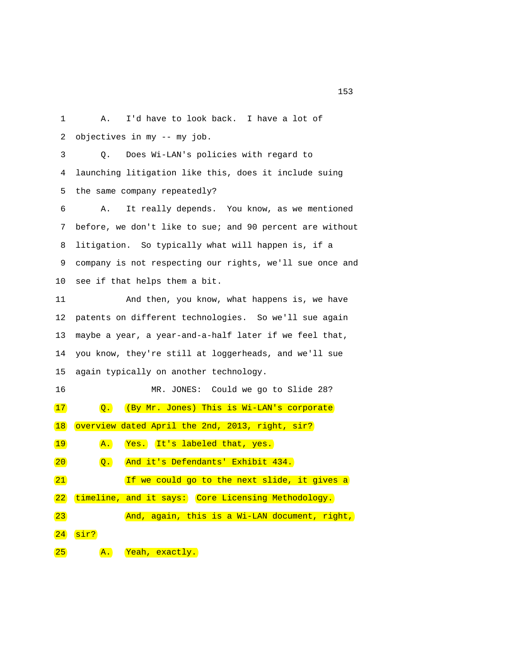1 A. I'd have to look back. I have a lot of 2 objectives in my -- my job. 3 Q. Does Wi-LAN's policies with regard to

 4 launching litigation like this, does it include suing 5 the same company repeatedly?

 6 A. It really depends. You know, as we mentioned 7 before, we don't like to sue; and 90 percent are without 8 litigation. So typically what will happen is, if a 9 company is not respecting our rights, we'll sue once and 10 see if that helps them a bit.

 11 And then, you know, what happens is, we have 12 patents on different technologies. So we'll sue again 13 maybe a year, a year-and-a-half later if we feel that, 14 you know, they're still at loggerheads, and we'll sue 15 again typically on another technology.

| 16           |                  | MR. JONES: Could we go to Slide 28?                |
|--------------|------------------|----------------------------------------------------|
| 17           | $\overline{Q}$ . | (By Mr. Jones) This is Wi-LAN's corporate          |
| 18           |                  | overview dated April the 2nd, 2013, right, sir?    |
| 19           | A.               | It's labeled that, yes.<br>Yes.                    |
| $ 20\rangle$ | $\overline{Q}$ . | And it's Defendants' Exhibit 434.                  |
| 21           |                  | If we could go to the next slide, it gives a       |
| $ 22\rangle$ |                  | timeline, and it says: Core Licensing Methodology. |
| 23           |                  | And, again, this is a Wi-LAN document, right,      |
| 24           | sir?             |                                                    |
| 25           | A.               | Yeah, exactly.                                     |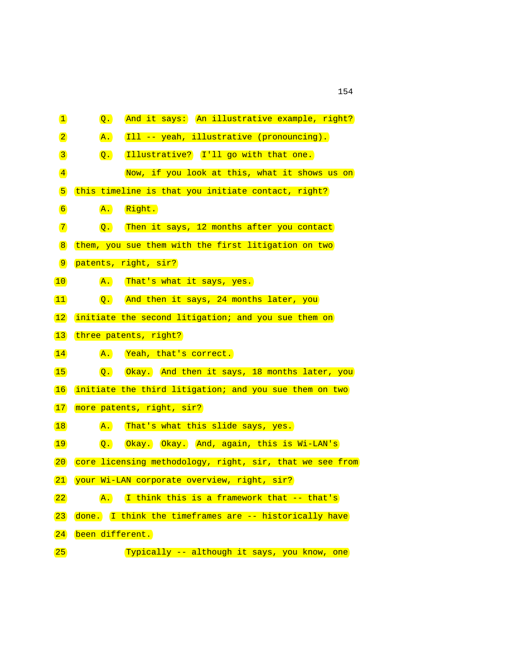| $\mathbf{1}$                 | $\overline{Q}$ . | And it says: An illustrative example, right?             |
|------------------------------|------------------|----------------------------------------------------------|
| $\boxed{2}$                  | $\mathbf{A}$ .   | [Ill -- yeah, illustrative (pronouncing).                |
| $\mathbf{3}$                 | $\overline{Q}$ . | Illustrative? I'll go with that one.                     |
| $\left  \frac{4}{2} \right $ |                  | Now, if you look at this, what it shows us on            |
| 5                            |                  | this timeline is that you initiate contact, right?       |
| $\boxed{6}$                  | $\overline{A}$ . | Right.                                                   |
| $\boxed{7}$                  | $\overline{Q}$ . | Then it says, 12 months after you contact                |
| $\mathbf{8}$                 |                  | them, you sue them with the first litigation on two      |
| $\boxed{9}$                  |                  | patents, right, sir?                                     |
| 10                           | $\overline{A}$ . | That's what it says, yes.                                |
| $\boxed{11}$                 | $\overline{Q}$ . | And then it says, 24 months later, you                   |
| 12                           |                  | initiate the second litigation; and you sue them on      |
| 13                           |                  | three patents, right?                                    |
| 14                           |                  | A. Yeah, that's correct.                                 |
| 15                           | $\overline{Q}$ . | Okay. And then it says, 18 months later, you             |
| 16                           |                  | initiate the third litigation; and you sue them on two   |
| 17)                          |                  | more patents, right, sir?                                |
| 18                           | $\overline{A}$ . | That's what this slide says, yes.                        |
| 19                           | $\overline{Q}$ . | Okay. Okay. And, again, this is Wi-LAN's                 |
| 20                           |                  | core licensing methodology, right, sir, that we see from |
| 21                           |                  | your Wi-LAN corporate overview, right, sir?              |
| 22                           | $\overline{A}$ . | I think this is a framework that -- that's               |
| $\left( 23\right)$           |                  | done. I think the timeframes are -- historically have    |
| $\boxed{24}$                 | been different.  |                                                          |
| 25)                          |                  | Typically -- although it says, you know, one             |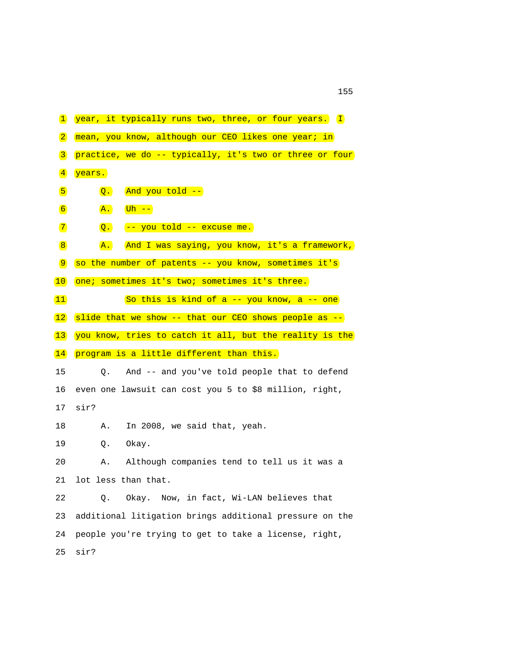| $\mathbf{1}$     | year, it typically runs two, three, or four years. I            |
|------------------|-----------------------------------------------------------------|
| $\boxed{2}$      | mean, you know, although our CEO likes one year; in             |
| $\boxed{3}$      | practice, we do -- typically, it's two or three or four         |
| $\sqrt{4}$       | years.                                                          |
| 5                | And you told --<br>$\overline{Q}$ .                             |
| $\boxed{6}$      | $(\overline{uh}$ --<br>$\overline{A}$ .                         |
| $\boxed{7}$      | -- you told -- excuse me.<br>$\overline{Q}$ .                   |
| $\boxed{8}$      | And I was saying, you know, it's a framework,<br>$\mathbf{A}$ . |
| $\boxed{9}$      | so the number of patents -- you know, sometimes it's            |
| $\vert 10 \vert$ | one; sometimes it's two; sometimes it's three.                  |
| $\boxed{11}$     | So this is kind of a -- you know, a -- one                      |
| 12               | slide that we show -- that our CEO shows people as --           |
| $\vert 13 \vert$ | you know, tries to catch it all, but the reality is the         |
| 14               | program is a little different than this.                        |
| 15               | And -- and you've told people that to defend<br>Q.              |
| 16               | even one lawsuit can cost you 5 to \$8 million, right,          |
| 17               | sir?                                                            |
| 18               | In 2008, we said that, yeah.<br>Α.                              |
| 19               | Q.<br>Okay.                                                     |
| 20               | Although companies tend to tell us it was a<br>Α.               |
| 21               | lot less than that.                                             |
| 22               | Okay. Now, in fact, Wi-LAN believes that<br>Q.                  |
|                  |                                                                 |
| 23               | additional litigation brings additional pressure on the         |
| 24               | people you're trying to get to take a license, right,           |
| 25               | sir?                                                            |

n 155 and 155 and 155 and 155 and 155 and 155 and 155 and 155 and 155 and 155 and 155 and 155 and 155 and 155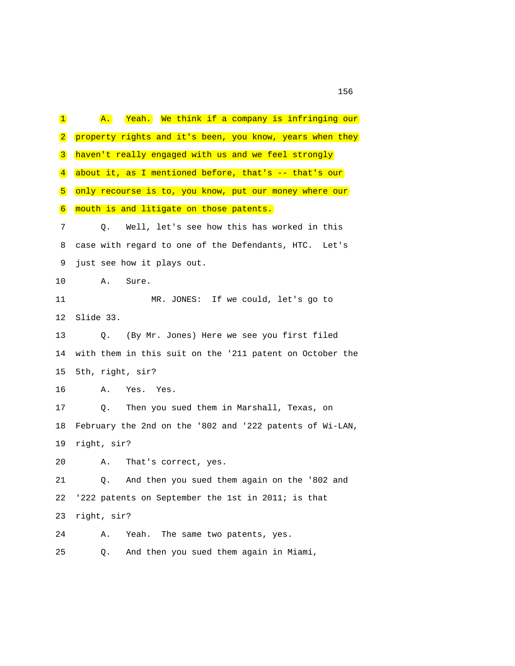1 A. Yeah. We think if a company is infringing our 2 property rights and it's been, you know, years when they 3 haven't really engaged with us and we feel strongly 4 about it, as I mentioned before, that's -- that's our 5 only recourse is to, you know, put our money where our 6 mouth is and litigate on those patents. 7 Q. Well, let's see how this has worked in this 8 case with regard to one of the Defendants, HTC. Let's 9 just see how it plays out. 10 A. Sure. 11 MR. JONES: If we could, let's go to 12 Slide 33. 13 Q. (By Mr. Jones) Here we see you first filed 14 with them in this suit on the '211 patent on October the 15 5th, right, sir? 16 A. Yes. Yes. 17 Q. Then you sued them in Marshall, Texas, on 18 February the 2nd on the '802 and '222 patents of Wi-LAN, 19 right, sir? 20 A. That's correct, yes. 21 Q. And then you sued them again on the '802 and 22 '222 patents on September the 1st in 2011; is that 23 right, sir? 24 A. Yeah. The same two patents, yes. 25 Q. And then you sued them again in Miami,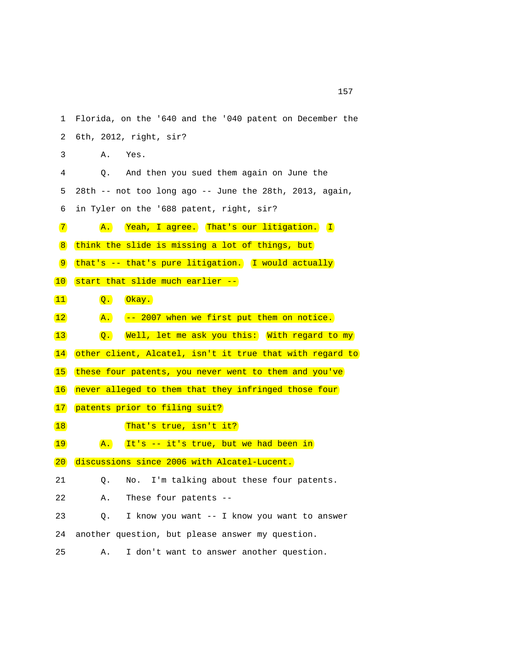1 Florida, on the '640 and the '040 patent on December the 2 6th, 2012, right, sir? 3 A. Yes. 4 Q. And then you sued them again on June the 5 28th -- not too long ago -- June the 28th, 2013, again, 6 in Tyler on the '688 patent, right, sir? 7 A. Yeah, I agree. That's our litigation. I 8 think the slide is missing a lot of things, but 9 that's -- that's pure litigation. I would actually 10 start that slide much earlier -- 11 Q. Okay. 12 **A.** -- 2007 when we first put them on notice. 13 Q. Well, let me ask you this: With regard to my 14 other client, Alcatel, isn't it true that with regard to 15 these four patents, you never went to them and you've 16 never alleged to them that they infringed those four 17 patents prior to filing suit? 18 That's true, isn't it? 19 **A.** It's -- it's true, but we had been in 20 discussions since 2006 with Alcatel-Lucent. 21 Q. No. I'm talking about these four patents. 22 A. These four patents -- 23 Q. I know you want -- I know you want to answer 24 another question, but please answer my question. 25 A. I don't want to answer another question.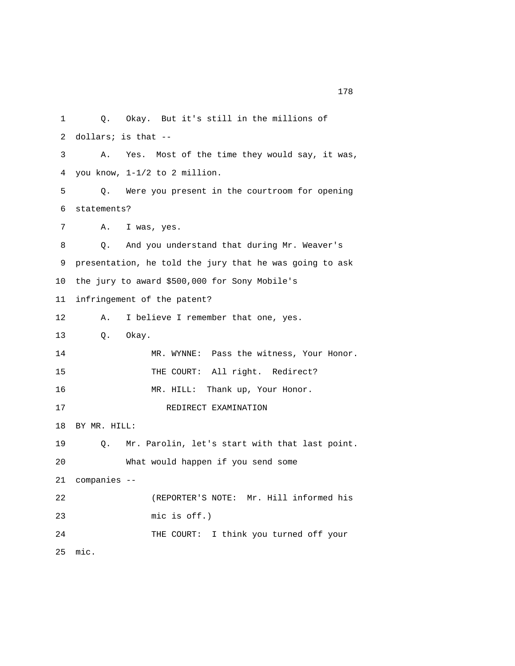1 Q. Okay. But it's still in the millions of 2 dollars; is that -- 3 A. Yes. Most of the time they would say, it was, 4 you know, 1-1/2 to 2 million. 5 Q. Were you present in the courtroom for opening 6 statements? 7 A. I was, yes. 8 Q. And you understand that during Mr. Weaver's 9 presentation, he told the jury that he was going to ask 10 the jury to award \$500,000 for Sony Mobile's 11 infringement of the patent? 12 A. I believe I remember that one, yes. 13 Q. Okay. 14 MR. WYNNE: Pass the witness, Your Honor. 15 THE COURT: All right. Redirect? 16 MR. HILL: Thank up, Your Honor. 17 REDIRECT EXAMINATION 18 BY MR. HILL: 19 Q. Mr. Parolin, let's start with that last point. 20 What would happen if you send some 21 companies -- 22 (REPORTER'S NOTE: Mr. Hill informed his 23 mic is off.) 24 THE COURT: I think you turned off your 25 mic.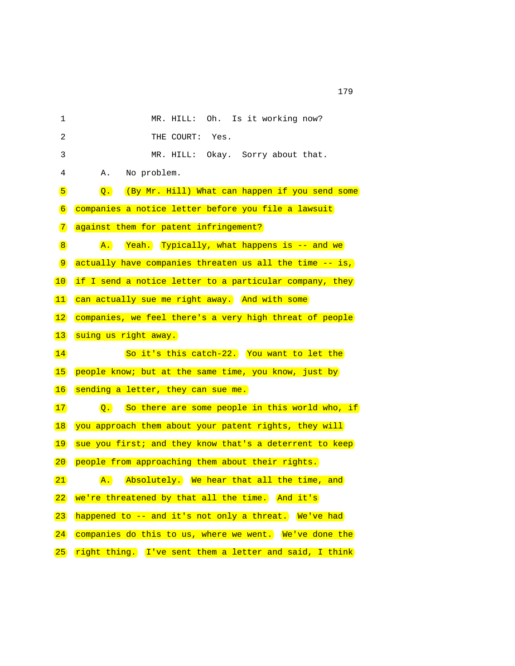| 1              | Oh.<br>Is it working now?<br>MR. HILL:                             |
|----------------|--------------------------------------------------------------------|
| $\overline{a}$ | THE COURT:<br>Yes.                                                 |
| 3              | MR. HILL: Okay. Sorry about that.                                  |
| 4              | No problem.<br>Α.                                                  |
| $\sqrt{5}$     | (By Mr. Hill) What can happen if you send some<br>$\overline{Q}$ . |
| $6 \mid$       | companies a notice letter before you file a lawsuit                |
| $\boxed{7}$    | against them for patent infringement?                              |
| $\boxed{8}$    | Yeah. Typically, what happens is -- and we<br>$\overline{A}$ .     |
| $\boxed{9}$    | actually have companies threaten us all the time -- is,            |
| 10             | if I send a notice letter to a particular company, they            |
| $ 11\rangle$   | can actually sue me right away. And with some                      |
| 12             | companies, we feel there's a very high threat of people            |
| $\boxed{13}$   | suing us right away.                                               |
| 14             | So it's this catch-22. You want to let the                         |
| 15             | people know; but at the same time, you know, just by               |
| 16             | sending a letter, they can sue me.                                 |
| 17             | So there are some people in this world who, if<br>$\overline{Q}$ . |
| 18             | you approach them about your patent rights, they will              |
| 19             | sue you first; and they know that's a deterrent to keep            |
| 20             | people from approaching them about their rights.                   |
| 21             | Absolutely. We hear that all the time, and<br>$\mathbf{A}$ .       |
| 22             | we're threatened by that all the time. And it's                    |
| $\boxed{23}$   | happened to -- and it's not only a threat. We've had               |
| 24             | companies do this to us, where we went. We've done the             |
| 25)            | right thing. I've sent them a letter and said, I think             |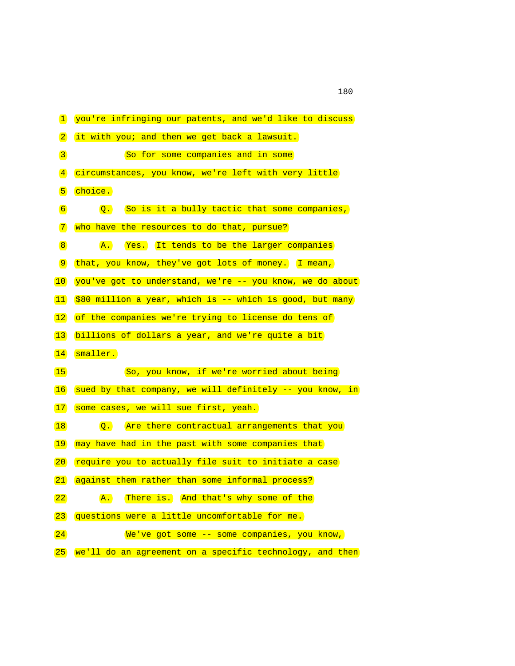| $\mathbf{1}$        | you're infringing our patents, and we'd like to discuss          |
|---------------------|------------------------------------------------------------------|
| $\vert 2 \vert$     | it with you; and then we get back a lawsuit.                     |
| $\boxed{3}$         | So for some companies and in some                                |
| $\vert 4 \vert$     | circumstances, you know, we're left with very little             |
| 5                   | choice.                                                          |
| $\boxed{6}$         | So is it a bully tactic that some companies,<br>$\overline{Q}$ . |
| $\boxed{7}$         | who have the resources to do that, pursue?                       |
| $\boxed{8}$         | $\overline{A}$ .<br>Yes. It tends to be the larger companies     |
| $\boxed{9}$         | that, you know, they've got lots of money. I mean,               |
| 10                  | you've got to understand, we're -- you know, we do about         |
| $\boxed{11}$        | \$80 million a year, which is -- which is good, but many         |
| $\vert$ 12          | of the companies we're trying to license do tens of              |
| $\boxed{13}$        | billions of dollars a year, and we're quite a bit                |
| 14                  | smaller.                                                         |
| 15                  | So, you know, if we're worried about being                       |
| $\vert 16 \vert$    | sued by that company, we will definitely -- you know, in         |
| $\left(17\right)$   | some cases, we will sue first, yeah.                             |
| 18                  | Q. Are there contractual arrangements that you                   |
| 19                  | may have had in the past with some companies that                |
| 20                  | require you to actually file suit to initiate a case             |
| 21                  | against them rather than some informal process?                  |
| 22                  | There is. And that's why some of the<br>$\overline{A}$ .         |
| $\left  23 \right $ | questions were a little uncomfortable for me.                    |
| 24                  | We've got some -- some companies, you know,                      |
|                     |                                                                  |

(25) we'll do an agreement on a specific technology, and then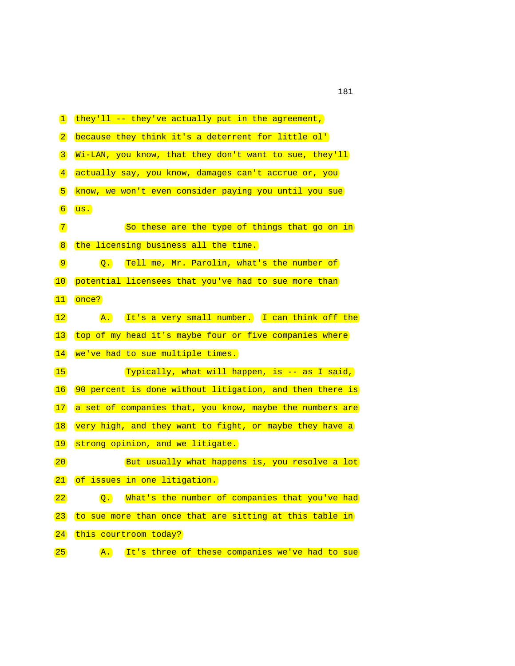| $\mathbf{1}$        | they'll -- they've actually put in the agreement,               |
|---------------------|-----------------------------------------------------------------|
| $\boxed{2}$         | because they think it's a deterrent for little ol'              |
| $\boxed{3}$         | Wi-LAN, you know, that they don't want to sue, they'll          |
| $\vert 4 \vert$     | actually say, you know, damages can't accrue or, you            |
| $\sqrt{5}$          | know, we won't even consider paying you until you sue           |
| $\boxed{6}$         | us.                                                             |
| $\boxed{7}$         | So these are the type of things that go on in                   |
| 8                   | the licensing business all the time.                            |
| $\boxed{9}$         | Q. Tell me, Mr. Parolin, what's the number of                   |
| $\overline{10}$     | potential licensees that you've had to sue more than            |
| $\boxed{11}$        | once?                                                           |
| 12                  | It's a very small number. I can think off the<br>$\mathbf{A}$ . |
| $\vert$ 13          | top of my head it's maybe four or five companies where          |
| $\vert 14 \vert$    | we've had to sue multiple times.                                |
| 15                  | Typically, what will happen, is -- as I said,                   |
| 16                  | 90 percent is done without litigation, and then there is        |
| 17                  | a set of companies that, you know, maybe the numbers are        |
| 18                  | very high, and they want to fight, or maybe they have a         |
| 19                  | strong opinion, and we litigate.                                |
| $\boxed{20}$        | But usually what happens is, you resolve a lot                  |
| 21                  | of issues in one litigation.                                    |
| $\boxed{22}$        | Q. What's the number of companies that you've had               |
| $\left  23 \right $ | to sue more than once that are sitting at this table in         |
| 24                  | this courtroom today?                                           |

(25) A. It's three of these companies we've had to sue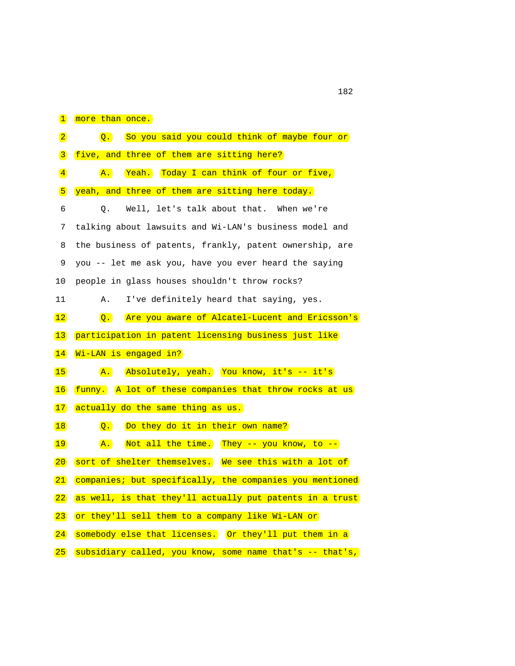| $\mathbf{1}$                 | more than once.                                                    |
|------------------------------|--------------------------------------------------------------------|
| $\boxed{2}$                  | So you said you could think of maybe four or<br>$\overline{Q}$ .   |
| $\vert 3 \vert$              | five, and three of them are sitting here?                          |
| $\left  \frac{4}{2} \right $ | Yeah. Today I can think of four or five,<br>$\overline{A}$ .       |
| 5                            | yeah, and three of them are sitting here today.                    |
| 6                            | Well, let's talk about that. When we're<br>Q.                      |
| 7                            | talking about lawsuits and Wi-LAN's business model and             |
| 8                            | the business of patents, frankly, patent ownership, are            |
| 9                            | you -- let me ask you, have you ever heard the saying              |
| 10                           | people in glass houses shouldn't throw rocks?                      |
| 11                           | I've definitely heard that saying, yes.<br>Α.                      |
| 12                           | Are you aware of Alcatel-Lucent and Ericsson's<br>$\overline{Q}$ . |
| $\vert$ 13                   | participation in patent licensing business just like               |
| $\vert 14 \vert$             | Wi-LAN is engaged in?                                              |
| 15                           | Absolutely, yeah. You know, it's -- it's<br>$\mathbf{A}$ .         |
| 16                           | funny. A lot of these companies that throw rocks at us             |
| 17                           | actually do the same thing as us.                                  |
| 18                           | Do they do it in their own name?<br>$\overline{Q}$ .               |
| 19                           | Not all the time. They -- you know, to --<br>$\mathbf{A}$ .        |
| 20                           | sort of shelter themselves. We see this with a lot of              |
| 21                           | companies; but specifically, the companies you mentioned           |
| 22                           | as well, is that they'll actually put patents in a trust           |
| $\left  23 \right $          | or they'll sell them to a company like Wi-LAN or                   |
| 24                           | somebody else that licenses. Or they'll put them in a              |
| $\boxed{25}$                 | subsidiary called, you know, some name that's -- that's,           |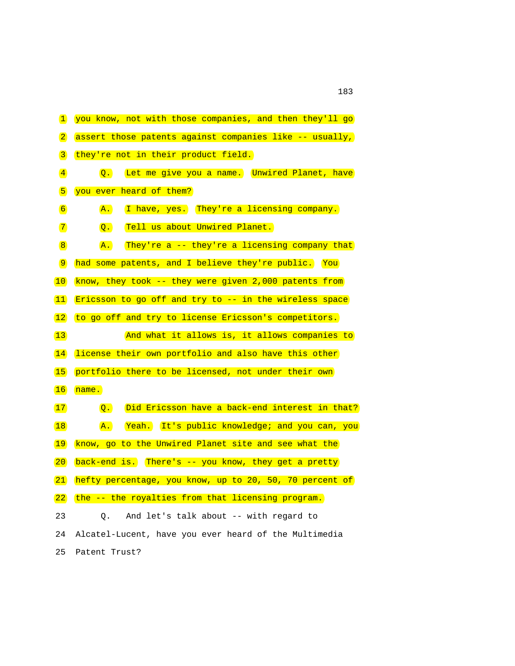| $\mathbf{1}$                 | you know, not with those companies, and then they'll go            |
|------------------------------|--------------------------------------------------------------------|
| $\boxed{2}$                  | assert those patents against companies like -- usually,            |
| $\boxed{3}$                  | they're not in their product field.                                |
| $\left( \frac{4}{2} \right)$ | Let me give you a name. Unwired Planet, have<br>$\overline{Q}$ .   |
| 5                            | you ever heard of them?                                            |
| $\boxed{6}$                  | I have, yes. They're a licensing company.<br>$\overline{A}$ .      |
| $\boxed{7}$                  | Tell us about Unwired Planet.<br>$\overline{Q}$ .                  |
| $\boxed{8}$                  | They're a -- they're a licensing company that<br>$\mathbf{A}$ .    |
| $\boxed{9}$                  | had some patents, and I believe they're public. You                |
| $\vert 10 \vert$             | know, they took -- they were given 2,000 patents from              |
| 11                           | Ericsson to go off and try to -- in the wireless space             |
| 12                           | to go off and try to license Ericsson's competitors.               |
| 13                           | And what it allows is, it allows companies to                      |
| $\vert 14 \vert$             | license their own portfolio and also have this other               |
| 15                           | portfolio there to be licensed, not under their own                |
| 16                           | name.                                                              |
| 17                           | Did Ericsson have a back-end interest in that?<br>$\overline{Q}$ . |
| 18                           | Yeah. It's public knowledge; and you can, you<br>$\mathbf{A}$ .    |
| 19                           | know, go to the Unwired Planet site and see what the               |
| 20                           | back-end is. There's -- you know, they get a pretty                |
| 21                           | hefty percentage, you know, up to 20, 50, 70 percent of            |
| 22                           | the -- the royalties from that licensing program.                  |
| 23                           | And let's talk about -- with regard to<br>Q.                       |
| 24                           | Alcatel-Lucent, have you ever heard of the Multimedia              |
| 25                           | Patent Trust?                                                      |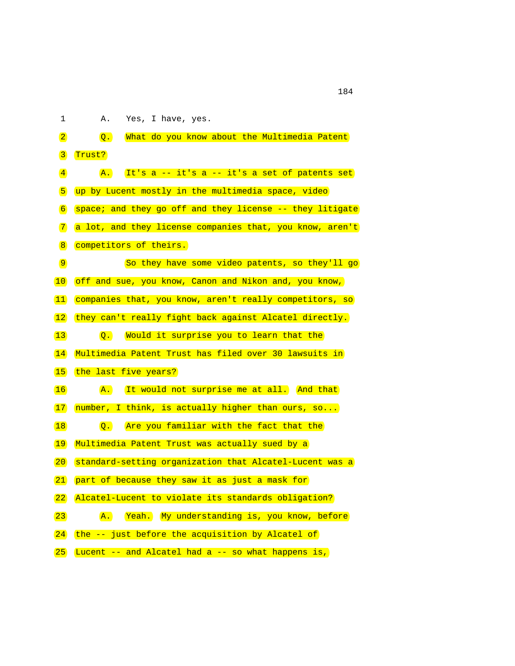## 1 A. Yes, I have, yes.

| $\boxed{2}$         | What do you know about the Multimedia Patent<br>$\overline{Q}$ . |
|---------------------|------------------------------------------------------------------|
|                     |                                                                  |
| $\mathbf{3}$        | Trust?                                                           |
| $\vert 4 \vert$     | It's a -- it's a -- it's a set of patents set<br>$\mathbf{A}$ .  |
| $\sqrt{5}$          | up by Lucent mostly in the multimedia space, video               |
| $\sqrt{6}$          | space; and they go off and they license -- they litigate         |
| $\boxed{7}$         | a lot, and they license companies that, you know, aren't         |
| $\boxed{8}$         | competitors of theirs.                                           |
| $\boxed{9}$         | So they have some video patents, so they'll go                   |
| $\overline{10}$     | off and sue, you know, Canon and Nikon and, you know,            |
| $ 11\rangle$        | companies that, you know, aren't really competitors, so          |
| $\vert$ 12          | they can't really fight back against Alcatel directly.           |
| $\vert$ 13          | Would it surprise you to learn that the<br>$\overline{Q}$ .      |
| $\vert 14 \vert$    | Multimedia Patent Trust has filed over 30 lawsuits in            |
| $\vert$ 15          | the last five years?                                             |
| $\vert 16 \vert$    | It would not surprise me at all. And that<br>$\mathbf{A}$ .      |
| 17                  | number, I think, is actually higher than ours, so                |
| 18                  | Are you familiar with the fact that the<br>$\overline{Q}$ .      |
| 19                  | Multimedia Patent Trust was actually sued by a                   |
| $ 20\rangle$        | standard-setting organization that Alcatel-Lucent was a          |
| 21                  | part of because they saw it as just a mask for                   |
| 22                  | Alcatel-Lucent to violate its standards obligation?              |
| $\left  23 \right $ | Yeah. My understanding is, you know, before<br>$\mathbf{A}$ .    |
| 24                  | the -- just before the acquisition by Alcatel of                 |
| 25                  | Lucent -- and Alcatel had a -- so what happens is,               |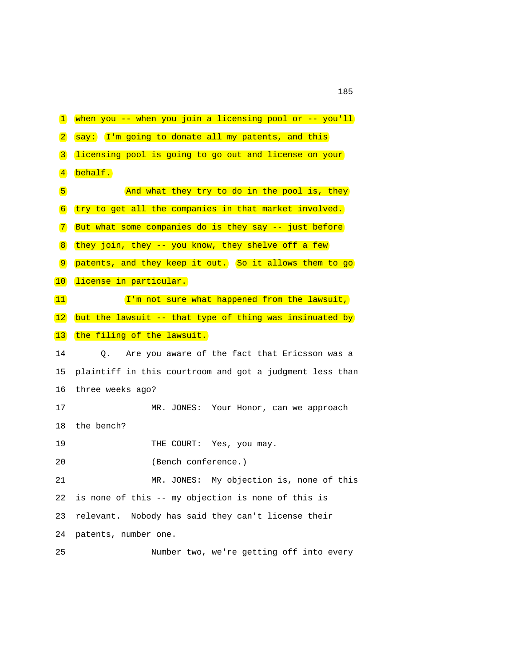1 when you -- when you join a licensing pool or -- you'll 2 say: I'm going to donate all my patents, and this 3 licensing pool is going to go out and license on your 4 behalf. 5 And what they try to do in the pool is, they 6 try to get all the companies in that market involved. 7 But what some companies do is they say -- just before  $8$  they join, they -- you know, they shelve off a few 9 patents, and they keep it out. So it allows them to go 10 license in particular.  $(11)$  I'm not sure what happened from the lawsuit,  $(12)$  but the lawsuit -- that type of thing was insinuated by 13 the filing of the lawsuit. 14 Q. Are you aware of the fact that Ericsson was a 15 plaintiff in this courtroom and got a judgment less than 16 three weeks ago? 17 MR. JONES: Your Honor, can we approach 18 the bench? 19 THE COURT: Yes, you may. 20 (Bench conference.) 21 MR. JONES: My objection is, none of this 22 is none of this -- my objection is none of this is 23 relevant. Nobody has said they can't license their 24 patents, number one. 25 Number two, we're getting off into every

n 185 and 185 and 185 and 185 and 185 and 185 and 185 and 185 and 185 and 185 and 185 and 185 and 185 and 185